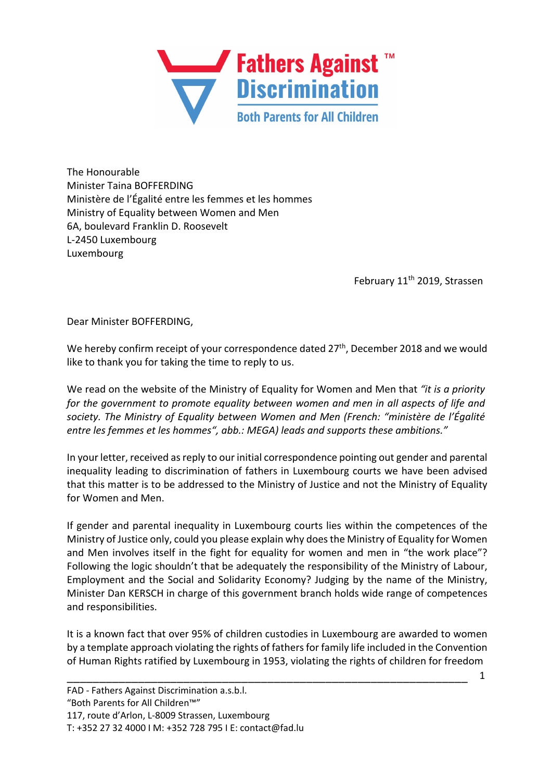

The Honourable Minister Taina BOFFERDING Ministère de l'Égalité entre les femmes et les hommes Ministry of Equality between Women and Men 6A, boulevard Franklin D. Roosevelt L-2450 Luxembourg Luxembourg

February 11<sup>th</sup> 2019, Strassen

Dear Minister BOFFERDING,

We hereby confirm receipt of your correspondence dated 27<sup>th</sup>, December 2018 and we would like to thank you for taking the time to reply to us.

We read on the website of the Ministry of Equality for Women and Men that *"it is a priority for the government to promote equality between women and men in all aspects of life and society. The Ministry of Equality between Women and Men (French: "ministère de l'Égalité entre les femmes et les hommes", abb.: MEGA) leads and supports these ambitions."*

In your letter, received as reply to our initial correspondence pointing out gender and parental inequality leading to discrimination of fathers in Luxembourg courts we have been advised that this matter is to be addressed to the Ministry of Justice and not the Ministry of Equality for Women and Men.

If gender and parental inequality in Luxembourg courts lies within the competences of the Ministry of Justice only, could you please explain why does the Ministry of Equality for Women and Men involves itself in the fight for equality for women and men in "the work place"? Following the logic shouldn't that be adequately the responsibility of the Ministry of Labour, Employment and the Social and Solidarity Economy? Judging by the name of the Ministry, Minister Dan KERSCH in charge of this government branch holds wide range of competences and responsibilities.

It is a known fact that over 95% of children custodies in Luxembourg are awarded to women by a template approach violating the rights of fathers for family life included in the Convention of Human Rights ratified by Luxembourg in 1953, violating the rights of children for freedom

\_\_\_\_\_\_\_\_\_\_\_\_\_\_\_\_\_\_\_\_\_\_\_\_\_\_\_\_\_\_\_\_\_\_\_\_\_\_\_\_\_\_\_\_\_\_\_\_\_\_\_\_\_\_\_\_\_\_\_\_\_\_

1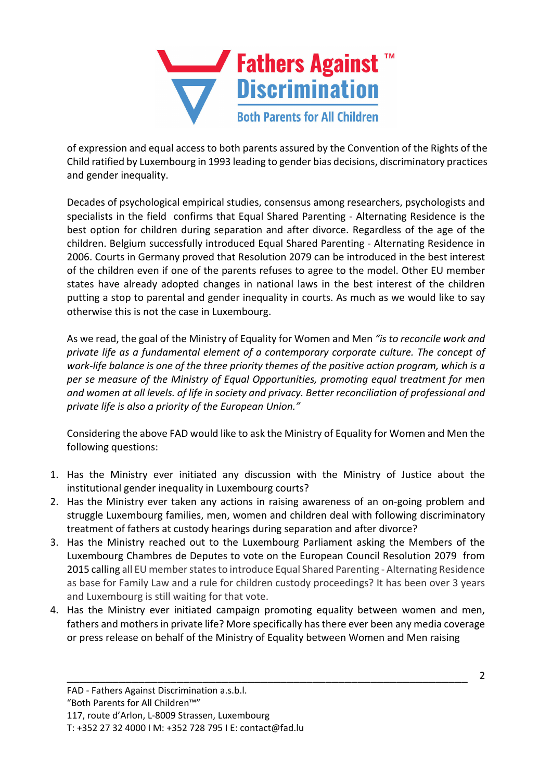

of expression and equal access to both parents assured by the Convention of the Rights of the Child ratified by Luxembourg in 1993 leading to gender bias decisions, discriminatory practices and gender inequality.

Decades of psychological empirical studies, consensus among researchers, psychologists and specialists in the field confirms that Equal Shared Parenting - Alternating Residence is the best option for children during separation and after divorce. Regardless of the age of the children. Belgium successfully introduced Equal Shared Parenting - Alternating Residence in 2006. Courts in Germany proved that Resolution 2079 can be introduced in the best interest of the children even if one of the parents refuses to agree to the model. Other EU member states have already adopted changes in national laws in the best interest of the children putting a stop to parental and gender inequality in courts. As much as we would like to say otherwise this is not the case in Luxembourg.

As we read, the goal of the Ministry of Equality for Women and Men *"is to reconcile work and private life as a fundamental element of a contemporary corporate culture. The concept of work-life balance is one of the three priority themes of the positive action program, which is a per se measure of the Ministry of Equal Opportunities, promoting equal treatment for men and women at all levels. of life in society and privacy. Better reconciliation of professional and private life is also a priority of the European Union."*

Considering the above FAD would like to ask the Ministry of Equality for Women and Men the following questions:

- 1. Has the Ministry ever initiated any discussion with the Ministry of Justice about the institutional gender inequality in Luxembourg courts?
- 2. Has the Ministry ever taken any actions in raising awareness of an on-going problem and struggle Luxembourg families, men, women and children deal with following discriminatory treatment of fathers at custody hearings during separation and after divorce?
- 3. Has the Ministry reached out to the Luxembourg Parliament asking the Members of the Luxembourg Chambres de Deputes to vote on the European Council Resolution 2079 from 2015 calling all EU member states to introduce Equal Shared Parenting - Alternating Residence as base for Family Law and a rule for children custody proceedings? It has been over 3 years and Luxembourg is still waiting for that vote.
- 4. Has the Ministry ever initiated campaign promoting equality between women and men, fathers and mothers in private life? More specifically has there ever been any media coverage or press release on behalf of the Ministry of Equality between Women and Men raising

\_\_\_\_\_\_\_\_\_\_\_\_\_\_\_\_\_\_\_\_\_\_\_\_\_\_\_\_\_\_\_\_\_\_\_\_\_\_\_\_\_\_\_\_\_\_\_\_\_\_\_\_\_\_\_\_\_\_\_\_\_\_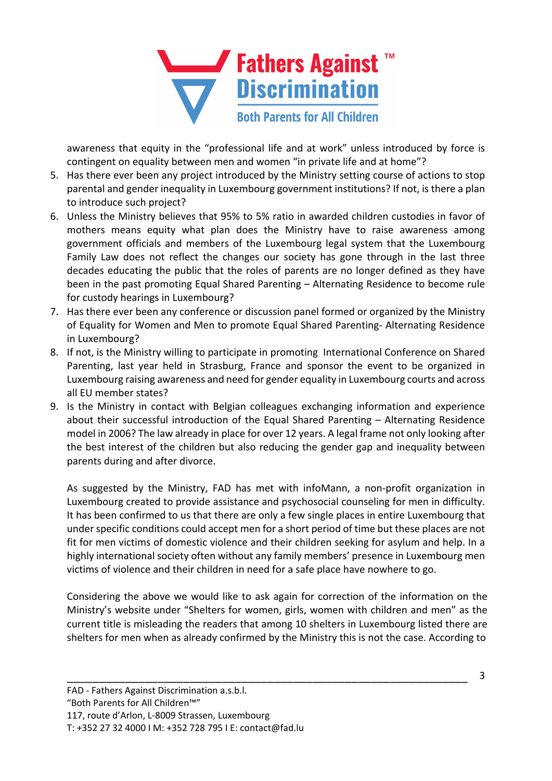

awareness that equity in the "professional life and at work" unless introduced by force is contingent on equality between men and women "in private life and at home"?

- 5. Has there ever been any project introduced by the Ministry setting course of actions to stop parental and gender inequality in Luxembourg government institutions? If not, is there a plan to introduce such project?
- 6. Unless the Ministry believes that 95% to 5% ratio in awarded children custodies in favor of mothers means equity what plan does the Ministry have to raise awareness among government officials and members of the Luxembourg legal system that the Luxembourg Family Law does not reflect the changes our society has gone through in the last three decades educating the public that the roles of parents are no longer defined as they have been in the past promoting Equal Shared Parenting – Alternating Residence to become rule for custody hearings in Luxembourg?
- 7. Has there ever been any conference or discussion panel formed or organized by the Ministry of Equality for Women and Men to promote Equal Shared Parenting- Alternating Residence in Luxembourg?
- 8. If not, is the Ministry willing to participate in promoting International Conference on Shared Parenting, last year held in Strasburg, France and sponsor the event to be organized in Luxembourg raising awareness and need for gender equality in Luxembourg courts and across all EU member states?
- 9. Is the Ministry in contact with Belgian colleagues exchanging information and experience about their successful introduction of the Equal Shared Parenting – Alternating Residence model in 2006? The law already in place for over 12 years. A legal frame not only looking after the best interest of the children but also reducing the gender gap and inequality between parents during and after divorce.

As suggested by the Ministry, FAD has met with infoMann, a non-profit organization in Luxembourg created to provide assistance and psychosocial counseling for men in difficulty. It has been confirmed to us that there are only a few single places in entire Luxembourg that under specific conditions could accept men for a short period of time but these places are not fit for men victims of domestic violence and their children seeking for asylum and help. In a highly international society often without any family members' presence in Luxembourg men victims of violence and their children in need for a safe place have nowhere to go.

Considering the above we would like to ask again for correction of the information on the Ministry's website under "Shelters for women, girls, women with children and men" as the current title is misleading the readers that among 10 shelters in Luxembourg listed there are shelters for men when as already confirmed by the Ministry this is not the case. According to

\_\_\_\_\_\_\_\_\_\_\_\_\_\_\_\_\_\_\_\_\_\_\_\_\_\_\_\_\_\_\_\_\_\_\_\_\_\_\_\_\_\_\_\_\_\_\_\_\_\_\_\_\_\_\_\_\_\_\_\_\_\_